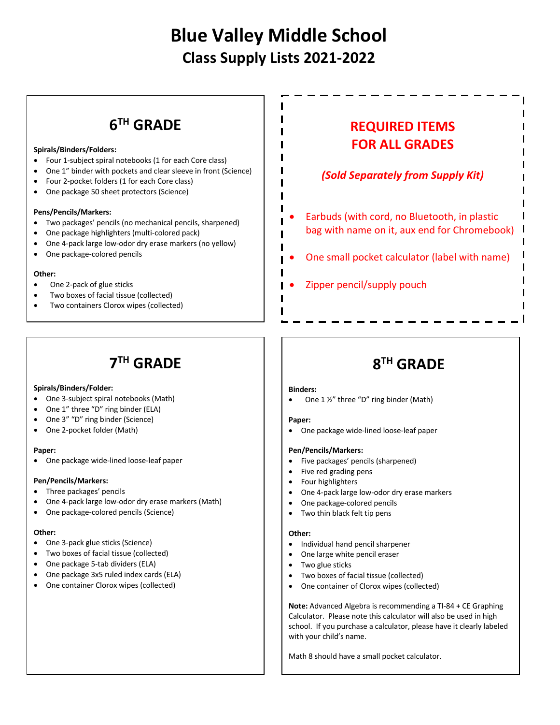# **Blue Valley Middle School Class Supply Lists 2021-2022**

ı I

I п

I

# **6TH GRADE**

#### **Spirals/Binders/Folders:**

- Four 1-subject spiral notebooks (1 for each Core class)
- One 1" binder with pockets and clear sleeve in front (Science)
- Four 2-pocket folders (1 for each Core class)
- One package 50 sheet protectors (Science)

#### **Pens/Pencils/Markers:**

- Two packages' pencils (no mechanical pencils, sharpened)
- One package highlighters (multi-colored pack)
- One 4-pack large low-odor dry erase markers (no yellow)
- One package-colored pencils

#### **Other:**

- One 2-pack of glue sticks
- Two boxes of facial tissue (collected)
- Two containers Clorox wipes (collected)

## **REQUIRED ITEMS FOR ALL GRADES**

## *(Sold Separately from Supply Kit)*

- Earbuds (with cord, no Bluetooth, in plastic bag with name on it, aux end for Chromebook)
- One small pocket calculator (label with name)
- Zipper pencil/supply pouch

## **7TH GRADE**

#### **Spirals/Binders/Folder:**

- One 3-subject spiral notebooks (Math)
- One 1" three "D" ring binder (ELA)
- One 3" "D" ring binder (Science)
- One 2-pocket folder (Math)

#### **Paper:**

• One package wide-lined loose-leaf paper

#### **Pen/Pencils/Markers:**

- Three packages' pencils
- One 4-pack large low-odor dry erase markers (Math)
- One package-colored pencils (Science)

#### **Other:**

- One 3-pack glue sticks (Science)
- Two boxes of facial tissue (collected)
- One package 5-tab dividers (ELA)
- One package 3x5 ruled index cards (ELA)
- One container Clorox wipes (collected)

# **8TH GRADE**

#### **Binders:**

• One 1 ½" three "D" ring binder (Math)

#### **Paper:**

• One package wide-lined loose-leaf paper

#### **Pen/Pencils/Markers:**

- Five packages' pencils (sharpened)
- Five red grading pens
- Four highlighters
- One 4-pack large low-odor dry erase markers
- One package-colored pencils
- Two thin black felt tip pens

#### **Other:**

- Individual hand pencil sharpener
- One large white pencil eraser
- Two glue sticks
- Two boxes of facial tissue (collected)
- One container of Clorox wipes (collected)

**Note:** Advanced Algebra is recommending a TI-84 + CE Graphing Calculator. Please note this calculator will also be used in high school. If you purchase a calculator, please have it clearly labeled with your child's name.

Math 8 should have a small pocket calculator.